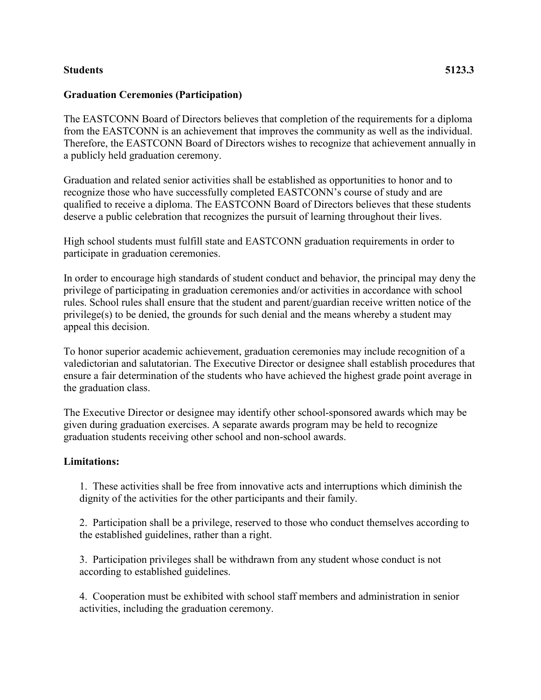## **Students 5123.3**

## **Graduation Ceremonies (Participation)**

The EASTCONN Board of Directors believes that completion of the requirements for a diploma from the EASTCONN is an achievement that improves the community as well as the individual. Therefore, the EASTCONN Board of Directors wishes to recognize that achievement annually in a publicly held graduation ceremony.

Graduation and related senior activities shall be established as opportunities to honor and to recognize those who have successfully completed EASTCONN's course of study and are qualified to receive a diploma. The EASTCONN Board of Directors believes that these students deserve a public celebration that recognizes the pursuit of learning throughout their lives.

High school students must fulfill state and EASTCONN graduation requirements in order to participate in graduation ceremonies.

In order to encourage high standards of student conduct and behavior, the principal may deny the privilege of participating in graduation ceremonies and/or activities in accordance with school rules. School rules shall ensure that the student and parent/guardian receive written notice of the privilege(s) to be denied, the grounds for such denial and the means whereby a student may appeal this decision.

To honor superior academic achievement, graduation ceremonies may include recognition of a valedictorian and salutatorian. The Executive Director or designee shall establish procedures that ensure a fair determination of the students who have achieved the highest grade point average in the graduation class.

The Executive Director or designee may identify other school-sponsored awards which may be given during graduation exercises. A separate awards program may be held to recognize graduation students receiving other school and non-school awards.

## **Limitations:**

1. These activities shall be free from innovative acts and interruptions which diminish the dignity of the activities for the other participants and their family.

2. Participation shall be a privilege, reserved to those who conduct themselves according to the established guidelines, rather than a right.

3. Participation privileges shall be withdrawn from any student whose conduct is not according to established guidelines.

4. Cooperation must be exhibited with school staff members and administration in senior activities, including the graduation ceremony.